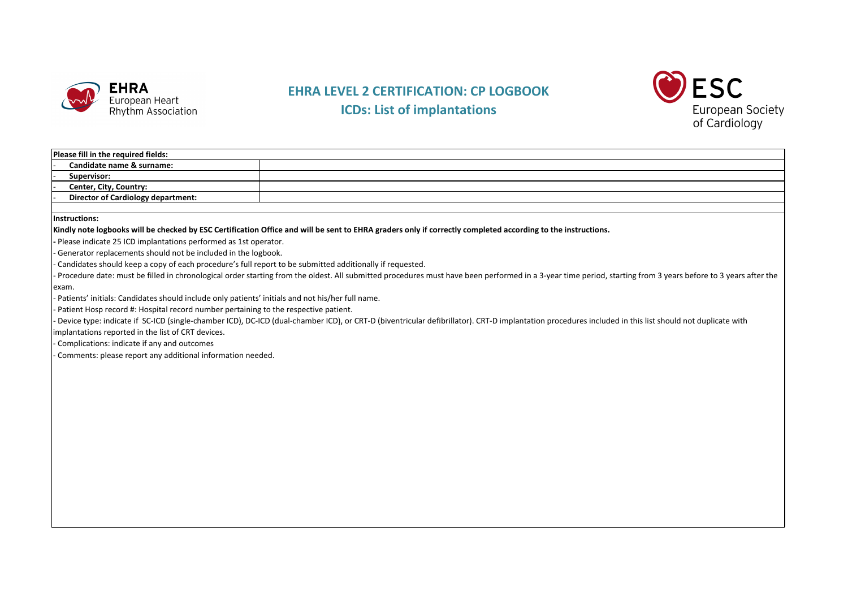

## **EHRA LEVEL 2 CERTIFICATION: CP LOGBOOK ICDs: List of implantations**



## **Please fill in the required fields:**

‐ **Candidate name & surname:** ‐ **Supervisor:**

‐ **Center, City, Country:**

‐ **Director of Cardiology department:**

**Instructions:**

Kindly note logbooks will be checked by ESC Certification Office and will be sent to EHRA graders only if correctly completed according to the instructions.

**‐** Please indicate 25 ICD implantations performed as 1st operator.

‐ Generator replacements should not be included in the logbook.

‐ Candidates should keep <sup>a</sup> copy of each procedure's full report to be submitted additionally if requested.

- Procedure date: must be filled in chronological order starting from the oldest. All submitted procedures must have been performed in a 3-year time period, starting from 3 years before to 3 years after the exam.

‐ Patients' initials: Candidates should include only patients' initials and not his/her full name.

‐ Patient Hosp record #: Hospital record number pertaining to the respective patient.

- Device type: indicate if SC-ICD (single-chamber ICD), DC-ICD (dual-chamber ICD), or CRT-D (biventricular defibrillator). CRT-D implantation procedures included in this list should not duplicate with

implantations reported in the list of CRT devices.

‐ Complications: indicate if any and outcomes

‐ Comments: please report any additional information needed.